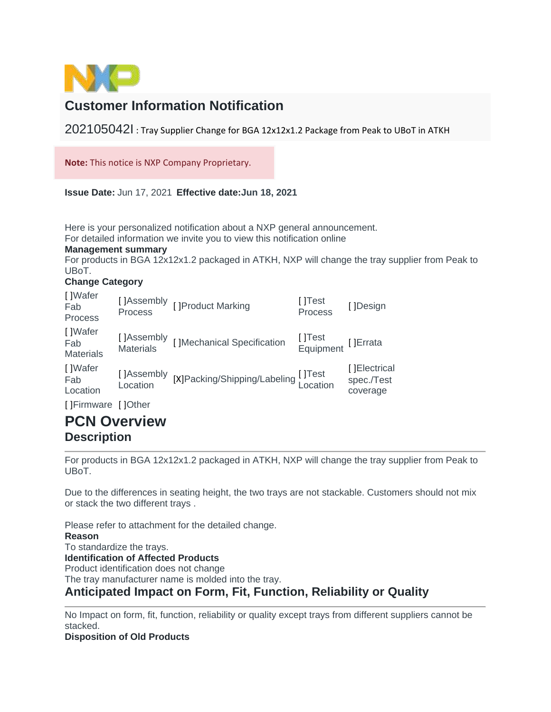

# **Customer Information Notification**

202105042I : Tray Supplier Change for BGA 12x12x1.2 Package from Peak to UBoT in ATKH

**Note:** This notice is NXP Company Proprietary.

**Issue Date:** Jun 17, 2021 **Effective date:Jun 18, 2021**

Here is your personalized notification about a NXP general announcement.

For detailed information we invite you to view this notification online

### **Management summary**

For products in BGA 12x12x1.2 packaged in ATKH, NXP will change the tray supplier from Peak to UBoT.

### **Change Category**

| []Wafer<br>Fab<br>Process          |                        | []Assembly []Product Marking<br>Process            | []Test<br>Process            | []Design                               |
|------------------------------------|------------------------|----------------------------------------------------|------------------------------|----------------------------------------|
| []Wafer<br>Fab<br><b>Materials</b> |                        | []Assembly []Mechanical Specification<br>Materials | []Test<br>Equipment []Errata |                                        |
| []Wafer<br>Fab<br>Location         | []Assembly<br>Location | [X]Packing/Shipping/Labeling []Test<br>Location    |                              | []Electrical<br>spec./Test<br>coverage |
|                                    |                        |                                                    |                              |                                        |

[ ]Firmware [ ]Other

## **PCN Overview Description**

For products in BGA 12x12x1.2 packaged in ATKH, NXP will change the tray supplier from Peak to UBoT.

Due to the differences in seating height, the two trays are not stackable. Customers should not mix or stack the two different trays .

Please refer to attachment for the detailed change. **Reason**  To standardize the trays. **Identification of Affected Products**  Product identification does not change The tray manufacturer name is molded into the tray. **Anticipated Impact on Form, Fit, Function, Reliability or Quality** 

No Impact on form, fit, function, reliability or quality except trays from different suppliers cannot be stacked.

**Disposition of Old Products**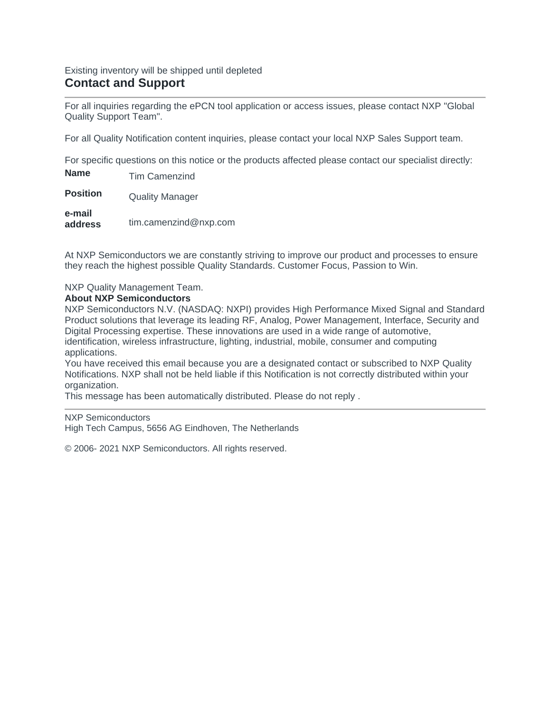### Existing inventory will be shipped until depleted **Contact and Support**

For all inquiries regarding the ePCN tool application or access issues, please contact NXP "Global Quality Support Team".

For all Quality Notification content inquiries, please contact your local NXP Sales Support team.

For specific questions on this notice or the products affected please contact our specialist directly:

**Name** Tim Camenzind **Position Quality Manager e-mail** 

**address** tim.camenzind@nxp.com

At NXP Semiconductors we are constantly striving to improve our product and processes to ensure they reach the highest possible Quality Standards. Customer Focus, Passion to Win.

NXP Quality Management Team.

### **About NXP Semiconductors**

NXP Semiconductors N.V. (NASDAQ: NXPI) provides High Performance Mixed Signal and Standard Product solutions that leverage its leading RF, Analog, Power Management, Interface, Security and Digital Processing expertise. These innovations are used in a wide range of automotive, identification, wireless infrastructure, lighting, industrial, mobile, consumer and computing applications.

You have received this email because you are a designated contact or subscribed to NXP Quality Notifications. NXP shall not be held liable if this Notification is not correctly distributed within your organization.

This message has been automatically distributed. Please do not reply .

NXP Semiconductors High Tech Campus, 5656 AG Eindhoven, The Netherlands

© 2006- 2021 NXP Semiconductors. All rights reserved.